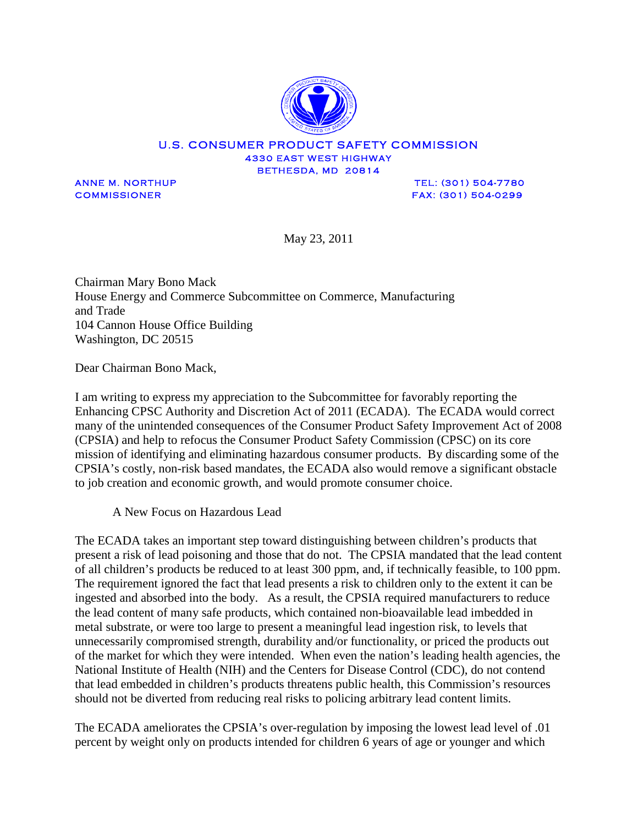

## U.S. CONSUMER PRODUCT SAFETY COMMISSION 4330 EAST WEST HIGHWAY BETHESDA, MD 20814

ANNE M. NORTHUP **TEL: (301) 504-7780** COMMISSIONER FAX: (301) 504-0299

May 23, 2011

Chairman Mary Bono Mack House Energy and Commerce Subcommittee on Commerce, Manufacturing and Trade 104 Cannon House Office Building Washington, DC 20515

Dear Chairman Bono Mack,

I am writing to express my appreciation to the Subcommittee for favorably reporting the Enhancing CPSC Authority and Discretion Act of 2011 (ECADA). The ECADA would correct many of the unintended consequences of the Consumer Product Safety Improvement Act of 2008 (CPSIA) and help to refocus the Consumer Product Safety Commission (CPSC) on its core mission of identifying and eliminating hazardous consumer products. By discarding some of the CPSIA's costly, non-risk based mandates, the ECADA also would remove a significant obstacle to job creation and economic growth, and would promote consumer choice.

A New Focus on Hazardous Lead

The ECADA takes an important step toward distinguishing between children's products that present a risk of lead poisoning and those that do not. The CPSIA mandated that the lead content of all children's products be reduced to at least 300 ppm, and, if technically feasible, to 100 ppm. The requirement ignored the fact that lead presents a risk to children only to the extent it can be ingested and absorbed into the body. As a result, the CPSIA required manufacturers to reduce the lead content of many safe products, which contained non-bioavailable lead imbedded in metal substrate, or were too large to present a meaningful lead ingestion risk, to levels that unnecessarily compromised strength, durability and/or functionality, or priced the products out of the market for which they were intended. When even the nation's leading health agencies, the National Institute of Health (NIH) and the Centers for Disease Control (CDC), do not contend that lead embedded in children's products threatens public health, this Commission's resources should not be diverted from reducing real risks to policing arbitrary lead content limits.

The ECADA ameliorates the CPSIA's over-regulation by imposing the lowest lead level of .01 percent by weight only on products intended for children 6 years of age or younger and which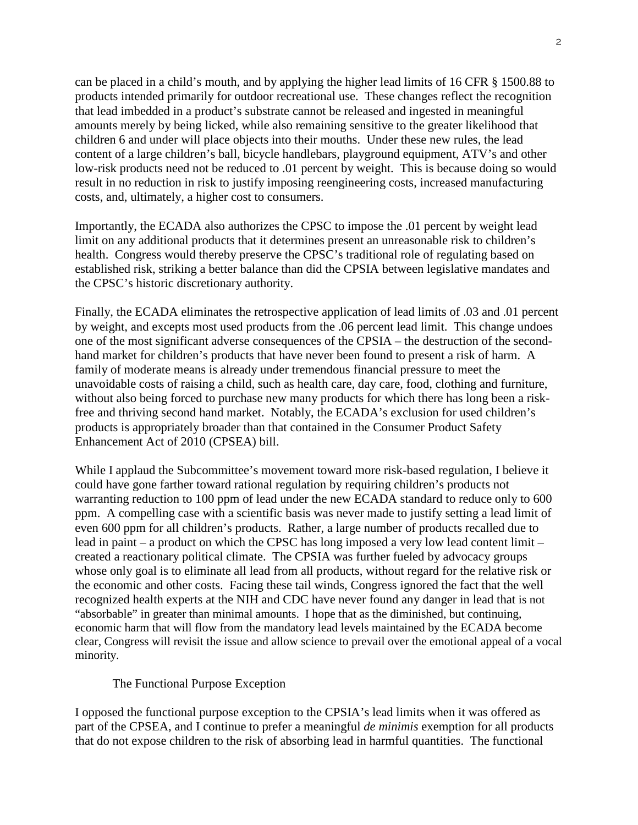can be placed in a child's mouth, and by applying the higher lead limits of 16 CFR § 1500.88 to products intended primarily for outdoor recreational use. These changes reflect the recognition that lead imbedded in a product's substrate cannot be released and ingested in meaningful amounts merely by being licked, while also remaining sensitive to the greater likelihood that children 6 and under will place objects into their mouths. Under these new rules, the lead content of a large children's ball, bicycle handlebars, playground equipment, ATV's and other low-risk products need not be reduced to .01 percent by weight. This is because doing so would result in no reduction in risk to justify imposing reengineering costs, increased manufacturing costs, and, ultimately, a higher cost to consumers.

Importantly, the ECADA also authorizes the CPSC to impose the .01 percent by weight lead limit on any additional products that it determines present an unreasonable risk to children's health. Congress would thereby preserve the CPSC's traditional role of regulating based on established risk, striking a better balance than did the CPSIA between legislative mandates and the CPSC's historic discretionary authority.

Finally, the ECADA eliminates the retrospective application of lead limits of .03 and .01 percent by weight, and excepts most used products from the .06 percent lead limit. This change undoes one of the most significant adverse consequences of the CPSIA – the destruction of the secondhand market for children's products that have never been found to present a risk of harm. A family of moderate means is already under tremendous financial pressure to meet the unavoidable costs of raising a child, such as health care, day care, food, clothing and furniture, without also being forced to purchase new many products for which there has long been a riskfree and thriving second hand market. Notably, the ECADA's exclusion for used children's products is appropriately broader than that contained in the Consumer Product Safety Enhancement Act of 2010 (CPSEA) bill.

While I applaud the Subcommittee's movement toward more risk-based regulation, I believe it could have gone farther toward rational regulation by requiring children's products not warranting reduction to 100 ppm of lead under the new ECADA standard to reduce only to 600 ppm. A compelling case with a scientific basis was never made to justify setting a lead limit of even 600 ppm for all children's products. Rather, a large number of products recalled due to lead in paint – a product on which the CPSC has long imposed a very low lead content limit – created a reactionary political climate. The CPSIA was further fueled by advocacy groups whose only goal is to eliminate all lead from all products, without regard for the relative risk or the economic and other costs. Facing these tail winds, Congress ignored the fact that the well recognized health experts at the NIH and CDC have never found any danger in lead that is not "absorbable" in greater than minimal amounts. I hope that as the diminished, but continuing, economic harm that will flow from the mandatory lead levels maintained by the ECADA become clear, Congress will revisit the issue and allow science to prevail over the emotional appeal of a vocal minority.

## The Functional Purpose Exception

I opposed the functional purpose exception to the CPSIA's lead limits when it was offered as part of the CPSEA, and I continue to prefer a meaningful *de minimis* exemption for all products that do not expose children to the risk of absorbing lead in harmful quantities. The functional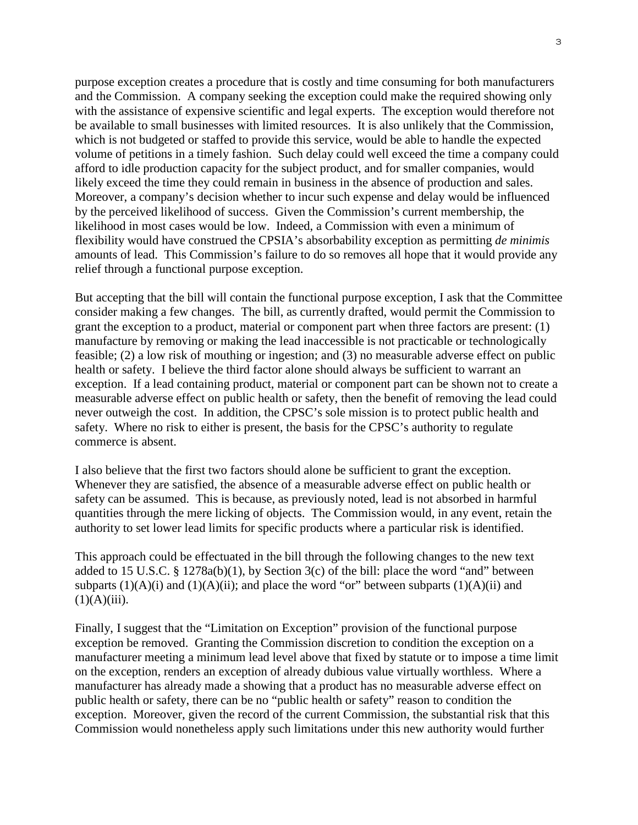purpose exception creates a procedure that is costly and time consuming for both manufacturers and the Commission. A company seeking the exception could make the required showing only with the assistance of expensive scientific and legal experts. The exception would therefore not be available to small businesses with limited resources. It is also unlikely that the Commission, which is not budgeted or staffed to provide this service, would be able to handle the expected volume of petitions in a timely fashion. Such delay could well exceed the time a company could afford to idle production capacity for the subject product, and for smaller companies, would likely exceed the time they could remain in business in the absence of production and sales. Moreover, a company's decision whether to incur such expense and delay would be influenced by the perceived likelihood of success. Given the Commission's current membership, the likelihood in most cases would be low. Indeed, a Commission with even a minimum of flexibility would have construed the CPSIA's absorbability exception as permitting *de minimis*  amounts of lead. This Commission's failure to do so removes all hope that it would provide any relief through a functional purpose exception.

But accepting that the bill will contain the functional purpose exception, I ask that the Committee consider making a few changes. The bill, as currently drafted, would permit the Commission to grant the exception to a product, material or component part when three factors are present: (1) manufacture by removing or making the lead inaccessible is not practicable or technologically feasible; (2) a low risk of mouthing or ingestion; and (3) no measurable adverse effect on public health or safety. I believe the third factor alone should always be sufficient to warrant an exception. If a lead containing product, material or component part can be shown not to create a measurable adverse effect on public health or safety, then the benefit of removing the lead could never outweigh the cost. In addition, the CPSC's sole mission is to protect public health and safety. Where no risk to either is present, the basis for the CPSC's authority to regulate commerce is absent.

I also believe that the first two factors should alone be sufficient to grant the exception. Whenever they are satisfied, the absence of a measurable adverse effect on public health or safety can be assumed. This is because, as previously noted, lead is not absorbed in harmful quantities through the mere licking of objects. The Commission would, in any event, retain the authority to set lower lead limits for specific products where a particular risk is identified.

This approach could be effectuated in the bill through the following changes to the new text added to 15 U.S.C. § 1278a(b)(1), by Section 3(c) of the bill: place the word "and" between subparts  $(1)(A)(i)$  and  $(1)(A)(ii)$ ; and place the word "or" between subparts  $(1)(A)(ii)$  and  $(1)(A)(iii)$ .

Finally, I suggest that the "Limitation on Exception" provision of the functional purpose exception be removed. Granting the Commission discretion to condition the exception on a manufacturer meeting a minimum lead level above that fixed by statute or to impose a time limit on the exception, renders an exception of already dubious value virtually worthless. Where a manufacturer has already made a showing that a product has no measurable adverse effect on public health or safety, there can be no "public health or safety" reason to condition the exception. Moreover, given the record of the current Commission, the substantial risk that this Commission would nonetheless apply such limitations under this new authority would further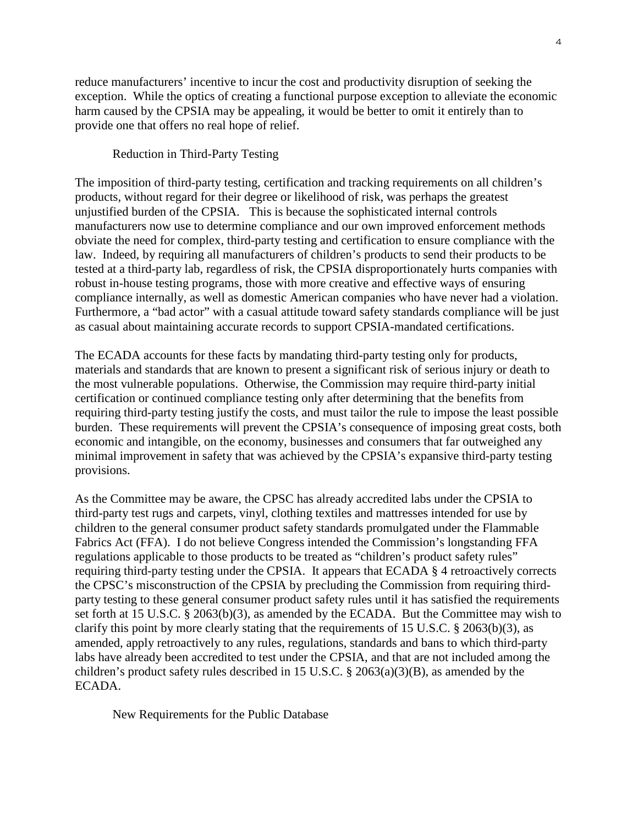reduce manufacturers' incentive to incur the cost and productivity disruption of seeking the exception. While the optics of creating a functional purpose exception to alleviate the economic harm caused by the CPSIA may be appealing, it would be better to omit it entirely than to provide one that offers no real hope of relief.

## Reduction in Third-Party Testing

The imposition of third-party testing, certification and tracking requirements on all children's products, without regard for their degree or likelihood of risk, was perhaps the greatest unjustified burden of the CPSIA. This is because the sophisticated internal controls manufacturers now use to determine compliance and our own improved enforcement methods obviate the need for complex, third-party testing and certification to ensure compliance with the law. Indeed, by requiring all manufacturers of children's products to send their products to be tested at a third-party lab, regardless of risk, the CPSIA disproportionately hurts companies with robust in-house testing programs, those with more creative and effective ways of ensuring compliance internally, as well as domestic American companies who have never had a violation. Furthermore, a "bad actor" with a casual attitude toward safety standards compliance will be just as casual about maintaining accurate records to support CPSIA-mandated certifications.

The ECADA accounts for these facts by mandating third-party testing only for products, materials and standards that are known to present a significant risk of serious injury or death to the most vulnerable populations. Otherwise, the Commission may require third-party initial certification or continued compliance testing only after determining that the benefits from requiring third-party testing justify the costs, and must tailor the rule to impose the least possible burden. These requirements will prevent the CPSIA's consequence of imposing great costs, both economic and intangible, on the economy, businesses and consumers that far outweighed any minimal improvement in safety that was achieved by the CPSIA's expansive third-party testing provisions.

As the Committee may be aware, the CPSC has already accredited labs under the CPSIA to third-party test rugs and carpets, vinyl, clothing textiles and mattresses intended for use by children to the general consumer product safety standards promulgated under the Flammable Fabrics Act (FFA). I do not believe Congress intended the Commission's longstanding FFA regulations applicable to those products to be treated as "children's product safety rules" requiring third-party testing under the CPSIA. It appears that ECADA § 4 retroactively corrects the CPSC's misconstruction of the CPSIA by precluding the Commission from requiring thirdparty testing to these general consumer product safety rules until it has satisfied the requirements set forth at 15 U.S.C. § 2063(b)(3), as amended by the ECADA. But the Committee may wish to clarify this point by more clearly stating that the requirements of 15 U.S.C. § 2063(b)(3), as amended, apply retroactively to any rules, regulations, standards and bans to which third-party labs have already been accredited to test under the CPSIA, and that are not included among the children's product safety rules described in 15 U.S.C. § 2063(a)(3)(B), as amended by the ECADA.

New Requirements for the Public Database